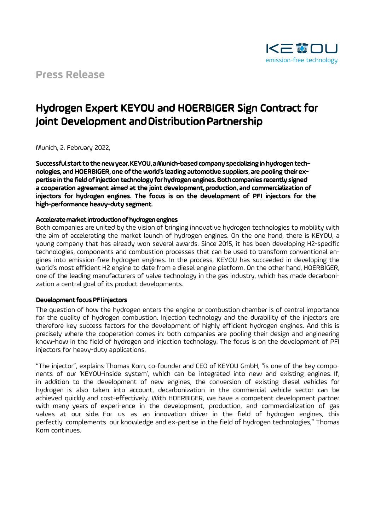

# Hydrogen Expert KEYOU and HOERBIGER Sign Contract for Joint Development and Distribution Partnership

Munich, 2. February 2022,

Successful start to the new year. KEYOU, a Munich-based company specializing in hydrogen technologies, and HOERBIGER, one of the world's leading automotive suppliers, are pooling their expertise in the field of injection technology for hydrogen engines. Both companies recently signed a cooperation agreement aimed at the joint development, production, and commercialization of injectors for hydrogen engines. The focus is on the development of PFI injectors for the high-performance heavy-duty segment.

### Accelerate market introduction of hydrogen engines

Both companies are united by the vision of bringing innovative hydrogen technologies to mobility with the aim of accelerating the market launch of hydrogen engines. On the one hand, there is KEYOU, a young company that has already won several awards. Since 2015, it has been developing H2-specific technologies, components and combustion processes that can be used to transform conventional engines into emission-free hydrogen engines. In the process, KEYOU has succeeded in developing the world's most efficient H2 engine to date from a diesel engine platform. On the other hand, HOERBIGER, one of the leading manufacturers of valve technology in the gas industry, which has made decarbonization a central goal of its product developments.

#### Development focus PFI injectors

The question of how the hydrogen enters the engine or combustion chamber is of central importance for the quality of hydrogen combustion. Injection technology and the durability of the injectors are therefore key success factors for the development of highly efficient hydrogen engines. And this is precisely where the cooperation comes in: both companies are pooling their design and engineering know-how in the field of hydrogen and injection technology. The focus is on the development of PFI injectors for heavy-duty applications.

"The injector", explains Thomas Korn, co-founder and CEO of KEYOU GmbH, "is one of the key components of our 'KEYOU-inside system', which can be integrated into new and existing engines. If, in addition to the development of new engines, the conversion of existing diesel vehicles for hydrogen is also taken into account, decarbonization in the commercial vehicle sector can be achieved quickly and cost-effectively. With HOERBIGER, we have a competent development partner with many years of experi-ence in the development, production, and commercialization of gas valves at our side. For us as an innovation driver in the field of hydrogen engines, this perfectly complements our knowledge and ex-pertise in the field of hydrogen technologies," Thomas Korn continues.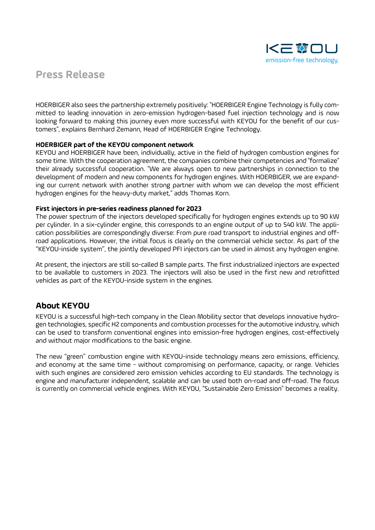

HOERBIGER also sees the partnership extremely positively: "HOERBIGER Engine Technology is fully committed to leading innovation in zero-emission hydrogen-based fuel injection technology and is now looking forward to making this journey even more successful with KEYOU for the benefit of our customers", explains Bernhard Zemann, Head of HOERBIGER Engine Technology.

### HOERBIGER part of the KEYOU component network

KEYOU and HOERBIGER have been, individually, active in the field of hydrogen combustion engines for some time. With the cooperation agreement, the companies combine their competencies and "formalize" their already successful cooperation. "We are always open to new partnerships in connection to the development of modern and new components for hydrogen engines. With HOERBIGER, we are expanding our current network with another strong partner with whom we can develop the most efficient hydrogen engines for the heavy-duty market," adds Thomas Korn.

### First injectors in pre-series readiness planned for 2023

The power spectrum of the injectors developed specifically for hydrogen engines extends up to 90 kW per cylinder. In a six-cylinder engine, this corresponds to an engine output of up to 540 kW. The application possibilities are correspondingly diverse: From pure road transport to industrial engines and offroad applications. However, the initial focus is clearly on the commercial vehicle sector. As part of the "KEYOU-inside system", the jointly developed PFI injectors can be used in almost any hydrogen engine.

At present, the injectors are still so-called B sample parts. The first industrialized injectors are expected to be available to customers in 2023. The injectors will also be used in the first new and retrofitted vehicles as part of the KEYOU-inside system in the engines.

### About KEYOU

KEYOU is a successful high-tech company in the Clean Mobility sector that develops innovative hydrogen technologies, specific H2 components and combustion processes for the automotive industry, which can be used to transform conventional engines into emission-free hydrogen engines, cost-effectively and without major modifications to the basic engine.

The new "green" combustion engine with KEYOU-inside technology means zero emissions, efficiency, and economy at the same time - without compromising on performance, capacity, or range. Vehicles with such engines are considered zero emission vehicles according to EU standards. The technology is engine and manufacturer independent, scalable and can be used both on-road and off-road. The focus is currently on commercial vehicle engines. With KEYOU, "Sustainable Zero Emission" becomes a reality.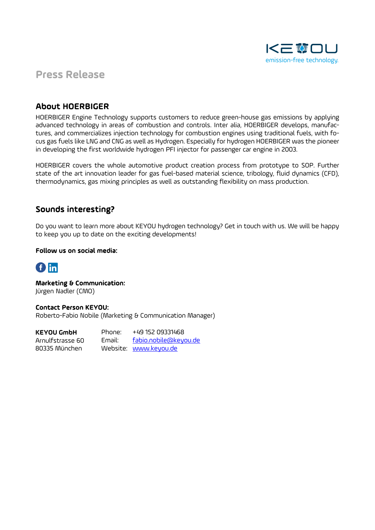

### About HOERBIGER

HOERBIGER Engine Technology supports customers to reduce green-house gas emissions by applying advanced technology in areas of combustion and controls. Inter alia, HOERBIGER develops, manufactures, and commercializes injection technology for combustion engines using traditional fuels, with focus gas fuels like LNG and CNG as well as Hydrogen. Especially for hydrogen HOERBIGER was the pioneer in developing the first worldwide hydrogen PFI injector for passenger car engine in 2003.

HOERBIGER covers the whole automotive product creation process from prototype to SOP. Further state of the art innovation leader for gas fuel-based material science, tribology, fluid dynamics (CFD), thermodynamics, gas mixing principles as well as outstanding flexibility on mass production.

### Sounds interesting?

Do you want to learn more about KEYOU hydrogen technology? Get in touch with us. We will be happy to keep you up to date on the exciting developments!

### Follow us on social media:



Marketing & Communication: Jürgen Nadler (CMO)

Contact Person KEYOU: Roberto-Fabio Nobile (Marketing & Communication Manager)

Phone: +49 152 09331468 Email: fabio.nobile@keyou.de Website: www.keyou.de **KEYOU GmbH**  Arnulfstrasse 60 80335 München